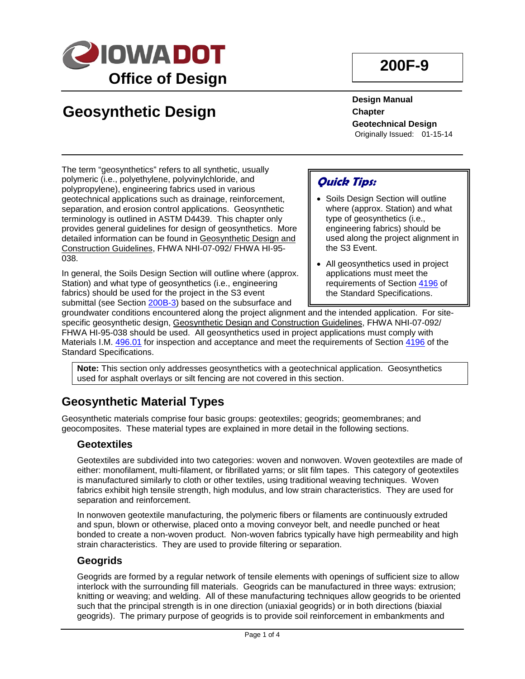

# **Geosynthetic Design**

**200F-9**

**Design Manual Chapter Geotechnical Design** Originally Issued: 01-15-14

The term "geosynthetics" refers to all synthetic, usually polymeric (i.e., polyethylene, polyvinylchloride, and polypropylene), engineering fabrics used in various geotechnical applications such as drainage, reinforcement, separation, and erosion control applications. Geosynthetic terminology is outlined in ASTM D4439. This chapter only provides general guidelines for design of geosynthetics. More detailed information can be found in Geosynthetic Design and Construction Guidelines, FHWA NHI-07-092/ FHWA HI-95- 038.

In general, the Soils Design Section will outline where (approx. Station) and what type of geosynthetics (i.e., engineering fabrics) should be used for the project in the S3 event submittal (see Section 200B-3) based on the subsurface and

## **Quick Tips:**

- Soils Design Section will outline where (approx. Station) and what type of geosynthetics (i.e., engineering fabrics) should be used along the project alignment in the S3 Event.
- All geosynthetics used in project applications must meet the requirements of Section [4196](http://www.iowadot.gov/erl/current/GS/content/4196.htm) of the Standard Specifications.

groundwater conditions encountered along the project alignment and the intended application. For sitespecific geosynthetic design, Geosynthetic Design and Construction Guidelines, FHWA NHI-07-092/ FHWA HI-95-038 should be used. All geosynthetics used in project applications must comply with Materials I.M. [496.01](http://www.iowadot.gov/erl/current/IM/content/496.01.htm) for inspection and acceptance and meet the requirements of Section [4196](http://www.iowadot.gov/erl/current/GS/content/4196.htm) of the Standard Specifications.

**Note:** This section only addresses geosynthetics with a geotechnical application. Geosynthetics used for asphalt overlays or silt fencing are not covered in this section.

## **Geosynthetic Material Types**

Geosynthetic materials comprise four basic groups: geotextiles; geogrids; geomembranes; and geocomposites. These material types are explained in more detail in the following sections.

### **Geotextiles**

Geotextiles are subdivided into two categories: woven and nonwoven. Woven geotextiles are made of either: monofilament, multi-filament, or fibrillated yarns; or slit film tapes. This category of geotextiles is manufactured similarly to cloth or other textiles, using traditional weaving techniques. Woven fabrics exhibit high tensile strength, high modulus, and low strain characteristics. They are used for separation and reinforcement.

In nonwoven geotextile manufacturing, the polymeric fibers or filaments are continuously extruded and spun, blown or otherwise, placed onto a moving conveyor belt, and needle punched or heat bonded to create a non-woven product. Non-woven fabrics typically have high permeability and high strain characteristics. They are used to provide filtering or separation.

### **Geogrids**

Geogrids are formed by a regular network of tensile elements with openings of sufficient size to allow interlock with the surrounding fill materials. Geogrids can be manufactured in three ways: extrusion; knitting or weaving; and welding. All of these manufacturing techniques allow geogrids to be oriented such that the principal strength is in one direction (uniaxial geogrids) or in both directions (biaxial geogrids). The primary purpose of geogrids is to provide soil reinforcement in embankments and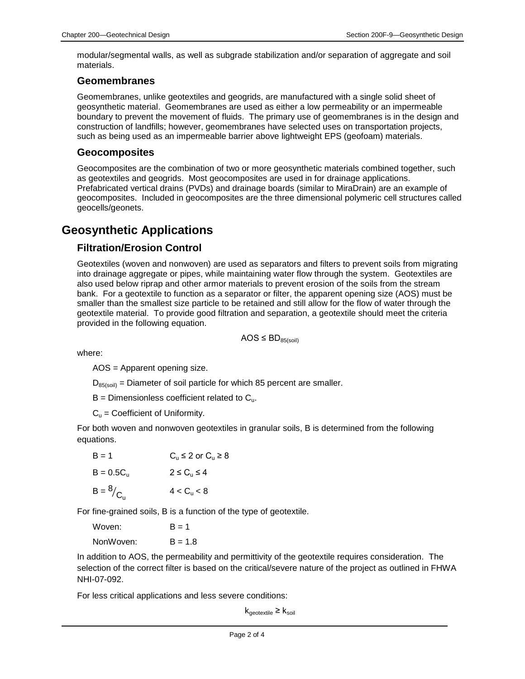modular/segmental walls, as well as subgrade stabilization and/or separation of aggregate and soil materials.

#### **Geomembranes**

Geomembranes, unlike geotextiles and geogrids, are manufactured with a single solid sheet of geosynthetic material. Geomembranes are used as either a low permeability or an impermeable boundary to prevent the movement of fluids. The primary use of geomembranes is in the design and construction of landfills; however, geomembranes have selected uses on transportation projects, such as being used as an impermeable barrier above lightweight EPS (geofoam) materials.

#### **Geocomposites**

Geocomposites are the combination of two or more geosynthetic materials combined together, such as geotextiles and geogrids. Most geocomposites are used in for drainage applications. Prefabricated vertical drains (PVDs) and drainage boards (similar to MiraDrain) are an example of geocomposites. Included in geocomposites are the three dimensional polymeric cell structures called geocells/geonets.

## **Geosynthetic Applications**

### **Filtration/Erosion Control**

Geotextiles (woven and nonwoven) are used as separators and filters to prevent soils from migrating into drainage aggregate or pipes, while maintaining water flow through the system. Geotextiles are also used below riprap and other armor materials to prevent erosion of the soils from the stream bank. For a geotextile to function as a separator or filter, the apparent opening size (AOS) must be smaller than the smallest size particle to be retained and still allow for the flow of water through the geotextile material. To provide good filtration and separation, a geotextile should meet the criteria provided in the following equation.

 $AOS \le BD_{85(\text{soil})}$ 

where:

AOS = Apparent opening size.

 $D_{85(sol)}$  = Diameter of soil particle for which 85 percent are smaller.

 $B =$  Dimensionless coefficient related to  $C_{\mu}$ .

 $C_u$  = Coefficient of Uniformity.

For both woven and nonwoven geotextiles in granular soils, B is determined from the following equations.

| $B = 1$             | $C_u \leq 2$ or $C_u \geq 8$ |
|---------------------|------------------------------|
| $B = 0.5C_{\rm u}$  | $2 \le C_u \le 4$            |
| $B = \frac{8}{C_u}$ | 4 < C <sub>u</sub> < 8       |

For fine-grained soils, B is a function of the type of geotextile.

| Woven:    | $B = 1$   |
|-----------|-----------|
| NonWoven: | $B = 1.8$ |

In addition to AOS, the permeability and permittivity of the geotextile requires consideration. The selection of the correct filter is based on the critical/severe nature of the project as outlined in FHWA NHI-07-092.

For less critical applications and less severe conditions:

 ${\sf k}_{\sf geotextile} \geq {\sf k}_{\sf soil}$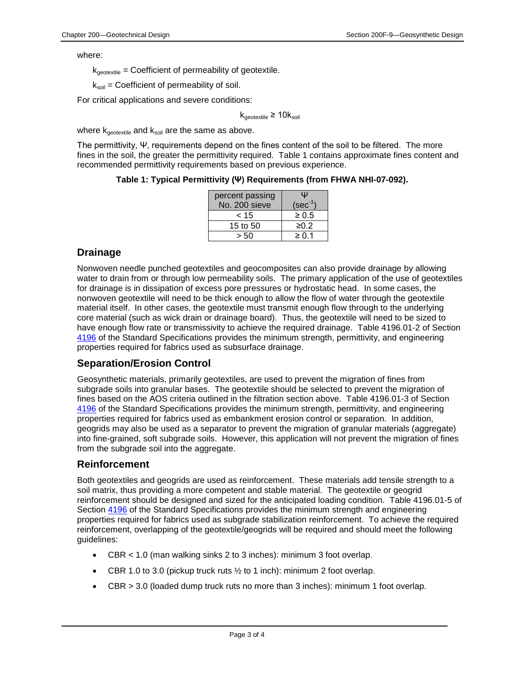where:

 $k_{\text{geotextile}}$  = Coefficient of permeability of geotextile.

 $k_{\text{soil}}$  = Coefficient of permeability of soil.

For critical applications and severe conditions:

 $k_{\text{geotextile}} \geq 10k_{\text{solid}}$ 

where  $k_{\text{geotextile}}$  and  $k_{\text{soil}}$  are the same as above.

The permittivity, Ψ, requirements depend on the fines content of the soil to be filtered. The more fines in the soil, the greater the permittivity required. Table 1 contains approximate fines content and recommended permittivity requirements based on previous experience.

**Table 1: Typical Permittivity (Ψ) Requirements (from FHWA NHI-07-092).**

| percent passing | Ψ            |
|-----------------|--------------|
| No. 200 sieve   | $(sec^{-1})$ |
| < 15            | $\geq 0.5$   |
| 15 to 50        | ≥0.2         |
| s 50            | ≥ 0 1        |

#### **Drainage**

Nonwoven needle punched geotextiles and geocomposites can also provide drainage by allowing water to drain from or through low permeability soils. The primary application of the use of geotextiles for drainage is in dissipation of excess pore pressures or hydrostatic head. In some cases, the nonwoven geotextile will need to be thick enough to allow the flow of water through the geotextile material itself. In other cases, the geotextile must transmit enough flow through to the underlying core material (such as wick drain or drainage board). Thus, the geotextile will need to be sized to have enough flow rate or transmissivity to achieve the required drainage. Table 4196.01-2 of Section [4196](http://www.iowadot.gov/erl/current/GS/content/4196.htm) of the Standard Specifications provides the minimum strength, permittivity, and engineering properties required for fabrics used as subsurface drainage.

#### **Separation/Erosion Control**

Geosynthetic materials, primarily geotextiles, are used to prevent the migration of fines from subgrade soils into granular bases. The geotextile should be selected to prevent the migration of fines based on the AOS criteria outlined in the filtration section above. Table 4196.01-3 of Section [4196](http://www.iowadot.gov/erl/current/GS/content/4196.htm) of the Standard Specifications provides the minimum strength, permittivity, and engineering properties required for fabrics used as embankment erosion control or separation. In addition, geogrids may also be used as a separator to prevent the migration of granular materials (aggregate) into fine-grained, soft subgrade soils. However, this application will not prevent the migration of fines from the subgrade soil into the aggregate.

#### **Reinforcement**

Both geotextiles and geogrids are used as reinforcement. These materials add tensile strength to a soil matrix, thus providing a more competent and stable material. The geotextile or geogrid reinforcement should be designed and sized for the anticipated loading condition. Table 4196.01-5 of Section [4196](http://www.iowadot.gov/erl/current/GS/content/4196.htm) of the Standard Specifications provides the minimum strength and engineering properties required for fabrics used as subgrade stabilization reinforcement. To achieve the required reinforcement, overlapping of the geotextile/geogrids will be required and should meet the following guidelines:

- CBR < 1.0 (man walking sinks 2 to 3 inches): minimum 3 foot overlap.
- CBR 1.0 to 3.0 (pickup truck ruts  $\frac{1}{2}$  to 1 inch): minimum 2 foot overlap.
- CBR > 3.0 (loaded dump truck ruts no more than 3 inches): minimum 1 foot overlap.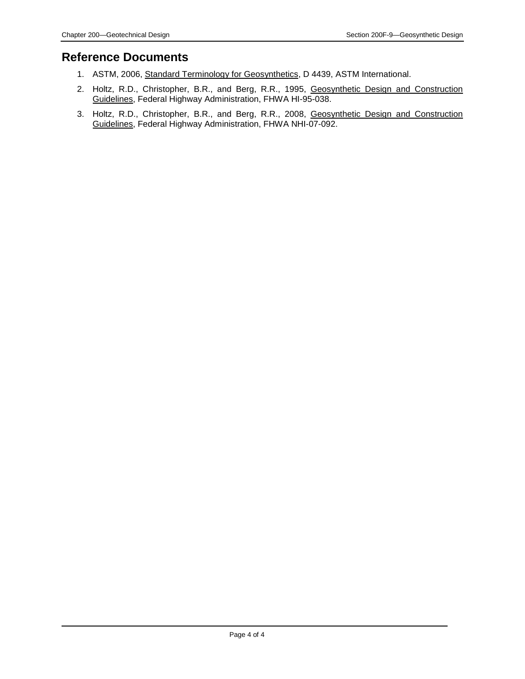## **Reference Documents**

- 1. ASTM, 2006, Standard Terminology for Geosynthetics, D 4439, ASTM International.
- 2. Holtz, R.D., Christopher, B.R., and Berg, R.R., 1995, Geosynthetic Design and Construction Guidelines, Federal Highway Administration, FHWA HI-95-038.
- 3. Holtz, R.D., Christopher, B.R., and Berg, R.R., 2008, Geosynthetic Design and Construction Guidelines, Federal Highway Administration, FHWA NHI-07-092.